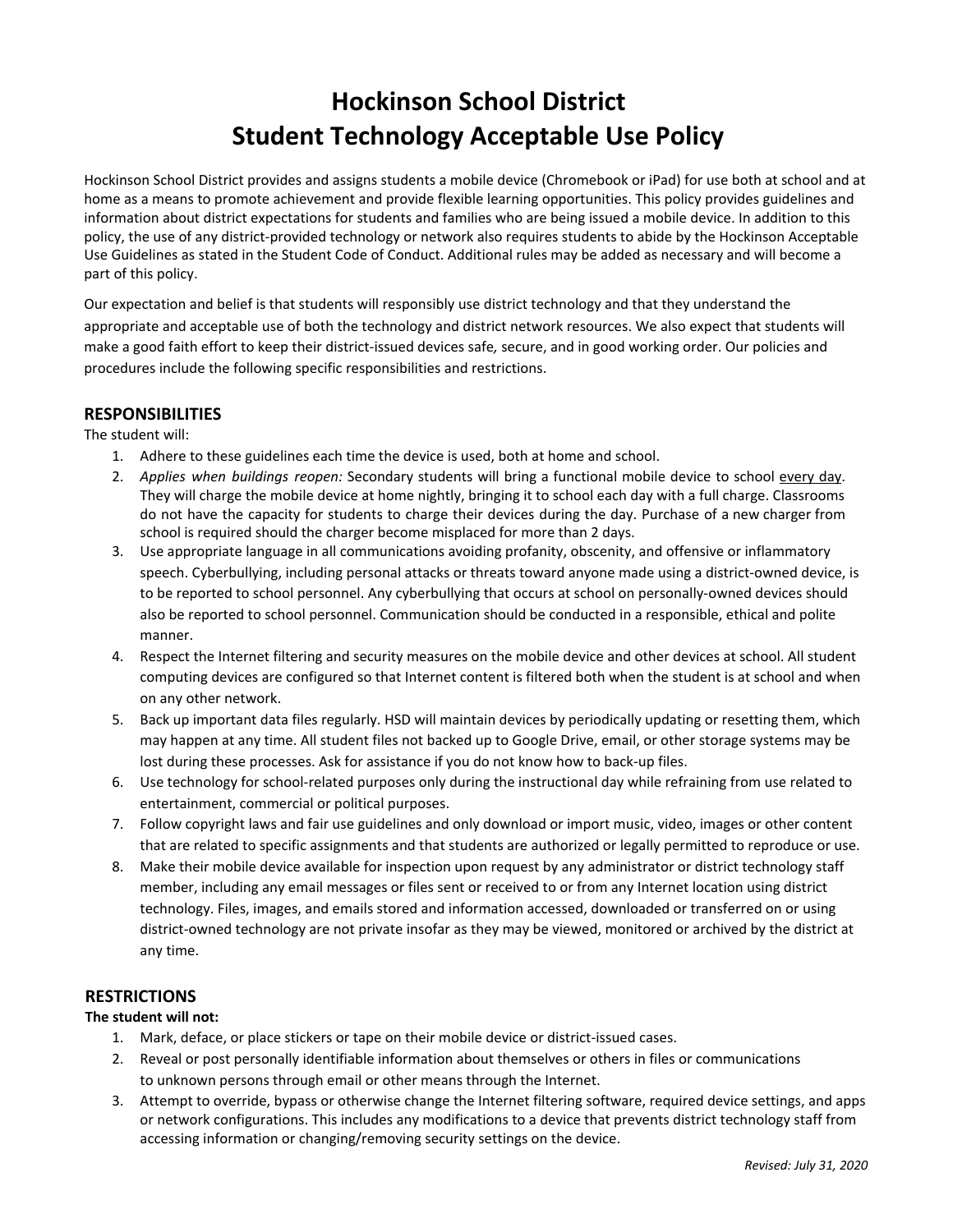# **Hockinson School District Student Technology Acceptable Use Policy**

Hockinson School District provides and assigns students a mobile device (Chromebook or iPad) for use both at school and at home as a means to promote achievement and provide flexible learning opportunities. This policy provides guidelines and information about district expectations for students and families who are being issued a mobile device. In addition to this policy, the use of any district-provided technology or network also requires students to abide by the Hockinson Acceptable Use Guidelines as stated in the Student Code of Conduct. Additional rules may be added as necessary and will become a part of this policy.

Our expectation and belief is that students will responsibly use district technology and that they understand the appropriate and acceptable use of both the technology and district network resources. We also expect that students will make a good faith effort to keep their district-issued devices safe*,* secure, and in good working order. Our policies and procedures include the following specific responsibilities and restrictions.

## **RESPONSIBILITIES**

The student will:

- 1. Adhere to these guidelines each time the device is used, both at home and school.
- 2. *Applies when buildings reopen:* Secondary students will bring a functional mobile device to school every day. They will charge the mobile device at home nightly, bringing it to school each day with a full charge. Classrooms do not have the capacity for students to charge their devices during the day. Purchase of a new charger from school is required should the charger become misplaced for more than 2 days.
- 3. Use appropriate language in all communications avoiding profanity, obscenity, and offensive or inflammatory speech. Cyberbullying, including personal attacks or threats toward anyone made using a district-owned device, is to be reported to school personnel. Any cyberbullying that occurs at school on personally-owned devices should also be reported to school personnel. Communication should be conducted in a responsible, ethical and polite manner.
- 4. Respect the Internet filtering and security measures on the mobile device and other devices at school. All student computing devices are configured so that Internet content is filtered both when the student is at school and when on any other network.
- 5. Back up important data files regularly. HSD will maintain devices by periodically updating or resetting them, which may happen at any time. All student files not backed up to Google Drive, email, or other storage systems may be lost during these processes. Ask for assistance if you do not know how to back-up files.
- 6. Use technology for school-related purposes only during the instructional day while refraining from use related to entertainment, commercial or political purposes.
- 7. Follow copyright laws and fair use guidelines and only download or import music, video, images or other content that are related to specific assignments and that students are authorized or legally permitted to reproduce or use.
- 8. Make their mobile device available for inspection upon request by any administrator or district technology staff member, including any email messages or files sent or received to or from any Internet location using district technology. Files, images, and emails stored and information accessed, downloaded or transferred on or using district-owned technology are not private insofar as they may be viewed, monitored or archived by the district at any time.

## **RESTRICTIONS**

### **The student will not:**

- 1. Mark, deface, or place stickers or tape on their mobile device or district-issued cases.
- 2. Reveal or post personally identifiable information about themselves or others in files or communications to unknown persons through email or other means through the Internet.
- 3. Attempt to override, bypass or otherwise change the Internet filtering software, required device settings, and apps or network configurations. This includes any modifications to a device that prevents district technology staff from accessing information or changing/removing security settings on the device.